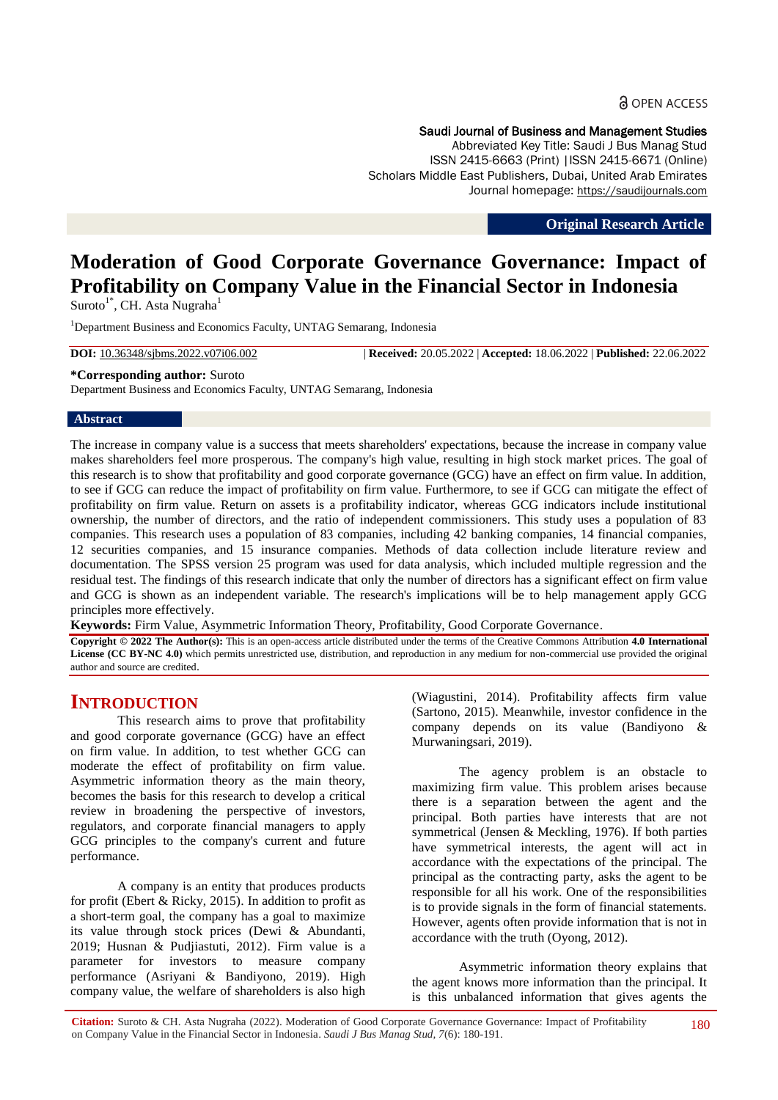#### Saudi Journal of Business and Management Studies

Abbreviated Key Title: Saudi J Bus Manag Stud ISSN 2415-6663 (Print) |ISSN 2415-6671 (Online) Scholars Middle East Publishers, Dubai, United Arab Emirates Journal homepage: https://saudijournals.com

**Original Research Article**

# **Moderation of Good Corporate Governance Governance: Impact of Profitability on Company Value in the Financial Sector in Indonesia**

Suroto<sup>1\*</sup>, CH. Asta Nugraha<sup>1</sup>

<sup>1</sup>Department Business and Economics Faculty, UNTAG Semarang, Indonesia

**DOI:** 10.36348/sjbms.2022.v07i06.002 | **Received:** 20.05.2022 | **Accepted:** 18.06.2022 | **Published:** 22.06.2022

#### **\*Corresponding author:** Suroto

Department Business and Economics Faculty, UNTAG Semarang, Indonesia

#### **Abstract**

The increase in company value is a success that meets shareholders' expectations, because the increase in company value makes shareholders feel more prosperous. The company's high value, resulting in high stock market prices. The goal of this research is to show that profitability and good corporate governance (GCG) have an effect on firm value. In addition, to see if GCG can reduce the impact of profitability on firm value. Furthermore, to see if GCG can mitigate the effect of profitability on firm value. Return on assets is a profitability indicator, whereas GCG indicators include institutional ownership, the number of directors, and the ratio of independent commissioners. This study uses a population of 83 companies. This research uses a population of 83 companies, including 42 banking companies, 14 financial companies, 12 securities companies, and 15 insurance companies. Methods of data collection include literature review and documentation. The SPSS version 25 program was used for data analysis, which included multiple regression and the residual test. The findings of this research indicate that only the number of directors has a significant effect on firm value and GCG is shown as an independent variable. The research's implications will be to help management apply GCG principles more effectively.

**Keywords:** Firm Value, Asymmetric Information Theory, Profitability, Good Corporate Governance.

**Copyright © 2022 The Author(s):** This is an open-access article distributed under the terms of the Creative Commons Attribution **4.0 International License (CC BY-NC 4.0)** which permits unrestricted use, distribution, and reproduction in any medium for non-commercial use provided the original author and source are credited.

# **INTRODUCTION**

This research aims to prove that profitability and good corporate governance (GCG) have an effect on firm value. In addition, to test whether GCG can moderate the effect of profitability on firm value. Asymmetric information theory as the main theory, becomes the basis for this research to develop a critical review in broadening the perspective of investors, regulators, and corporate financial managers to apply GCG principles to the company's current and future performance.

A company is an entity that produces products for profit (Ebert & Ricky, 2015). In addition to profit as a short-term goal, the company has a goal to maximize its value through stock prices (Dewi & Abundanti, 2019; Husnan & Pudjiastuti, 2012). Firm value is a parameter for investors to measure company performance (Asriyani & Bandiyono, 2019). High company value, the welfare of shareholders is also high

(Wiagustini, 2014). Profitability affects firm value (Sartono, 2015). Meanwhile, investor confidence in the company depends on its value (Bandiyono & Murwaningsari, 2019).

The agency problem is an obstacle to maximizing firm value. This problem arises because there is a separation between the agent and the principal. Both parties have interests that are not symmetrical (Jensen & Meckling, 1976). If both parties have symmetrical interests, the agent will act in accordance with the expectations of the principal. The principal as the contracting party, asks the agent to be responsible for all his work. One of the responsibilities is to provide signals in the form of financial statements. However, agents often provide information that is not in accordance with the truth (Oyong, 2012).

Asymmetric information theory explains that the agent knows more information than the principal. It is this unbalanced information that gives agents the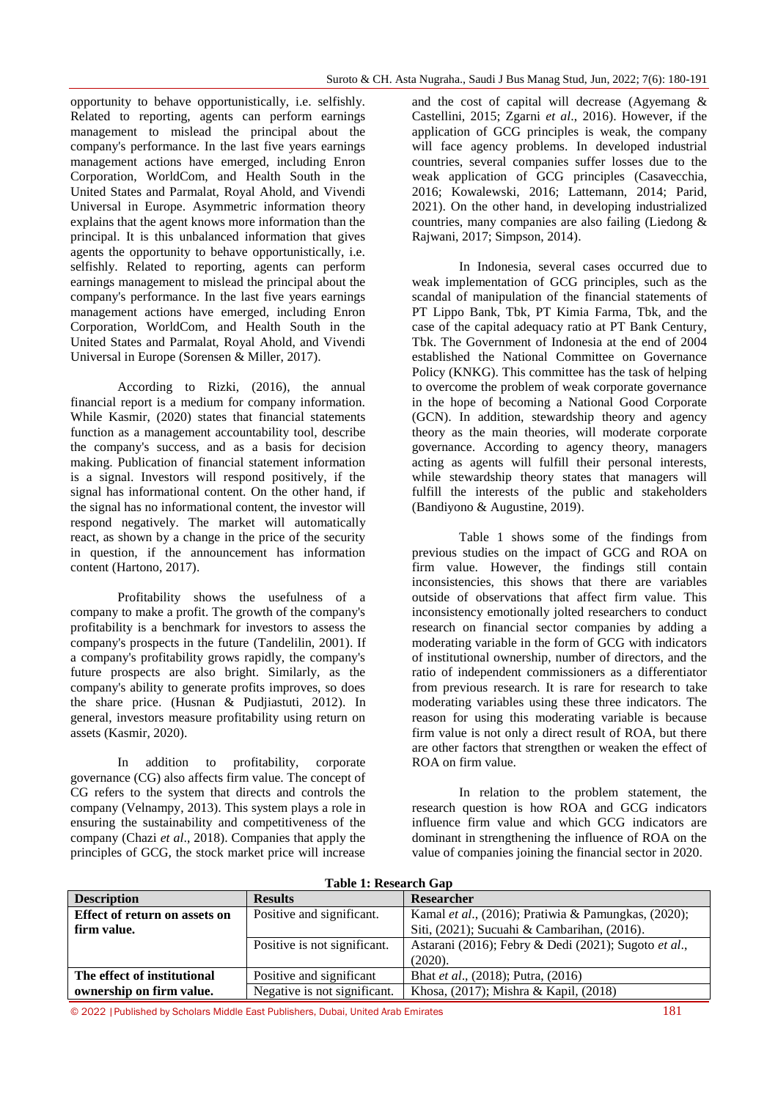opportunity to behave opportunistically, i.e. selfishly. Related to reporting, agents can perform earnings management to mislead the principal about the company's performance. In the last five years earnings management actions have emerged, including Enron Corporation, WorldCom, and Health South in the United States and Parmalat, Royal Ahold, and Vivendi Universal in Europe. Asymmetric information theory explains that the agent knows more information than the principal. It is this unbalanced information that gives agents the opportunity to behave opportunistically, i.e. selfishly. Related to reporting, agents can perform earnings management to mislead the principal about the company's performance. In the last five years earnings management actions have emerged, including Enron Corporation, WorldCom, and Health South in the United States and Parmalat, Royal Ahold, and Vivendi Universal in Europe (Sorensen & Miller, 2017).

According to Rizki, (2016), the annual financial report is a medium for company information. While Kasmir, (2020) states that financial statements function as a management accountability tool, describe the company's success, and as a basis for decision making. Publication of financial statement information is a signal. Investors will respond positively, if the signal has informational content. On the other hand, if the signal has no informational content, the investor will respond negatively. The market will automatically react, as shown by a change in the price of the security in question, if the announcement has information content (Hartono, 2017).

Profitability shows the usefulness of a company to make a profit. The growth of the company's profitability is a benchmark for investors to assess the company's prospects in the future (Tandelilin, 2001). If a company's profitability grows rapidly, the company's future prospects are also bright. Similarly, as the company's ability to generate profits improves, so does the share price. (Husnan & Pudjiastuti, 2012). In general, investors measure profitability using return on assets (Kasmir, 2020).

In addition to profitability, corporate governance (CG) also affects firm value. The concept of CG refers to the system that directs and controls the company (Velnampy, 2013). This system plays a role in ensuring the sustainability and competitiveness of the company (Chazi *et al*., 2018). Companies that apply the principles of GCG, the stock market price will increase

and the cost of capital will decrease (Agyemang & Castellini, 2015; Zgarni *et al*., 2016). However, if the application of GCG principles is weak, the company will face agency problems. In developed industrial countries, several companies suffer losses due to the weak application of GCG principles (Casavecchia, 2016; Kowalewski, 2016; Lattemann, 2014; Parid, 2021). On the other hand, in developing industrialized countries, many companies are also failing (Liedong & Rajwani, 2017; Simpson, 2014).

In Indonesia, several cases occurred due to weak implementation of GCG principles, such as the scandal of manipulation of the financial statements of PT Lippo Bank, Tbk, PT Kimia Farma, Tbk, and the case of the capital adequacy ratio at PT Bank Century, Tbk. The Government of Indonesia at the end of 2004 established the National Committee on Governance Policy (KNKG). This committee has the task of helping to overcome the problem of weak corporate governance in the hope of becoming a National Good Corporate (GCN). In addition, stewardship theory and agency theory as the main theories, will moderate corporate governance. According to agency theory, managers acting as agents will fulfill their personal interests, while stewardship theory states that managers will fulfill the interests of the public and stakeholders (Bandiyono & Augustine, 2019).

Table 1 shows some of the findings from previous studies on the impact of GCG and ROA on firm value. However, the findings still contain inconsistencies, this shows that there are variables outside of observations that affect firm value. This inconsistency emotionally jolted researchers to conduct research on financial sector companies by adding a moderating variable in the form of GCG with indicators of institutional ownership, number of directors, and the ratio of independent commissioners as a differentiator from previous research. It is rare for research to take moderating variables using these three indicators. The reason for using this moderating variable is because firm value is not only a direct result of ROA, but there are other factors that strengthen or weaken the effect of ROA on firm value.

In relation to the problem statement, the research question is how ROA and GCG indicators influence firm value and which GCG indicators are dominant in strengthening the influence of ROA on the value of companies joining the financial sector in 2020.

| Table 1: Research Gap                |                              |                                                      |  |  |  |
|--------------------------------------|------------------------------|------------------------------------------------------|--|--|--|
| <b>Description</b>                   | <b>Results</b>               | <b>Researcher</b>                                    |  |  |  |
| <b>Effect of return on assets on</b> | Positive and significant.    | Kamal et al., (2016); Pratiwia & Pamungkas, (2020);  |  |  |  |
| firm value.                          |                              | Siti, (2021); Sucuahi & Cambarihan, (2016).          |  |  |  |
|                                      | Positive is not significant. | Astarani (2016); Febry & Dedi (2021); Sugoto et al., |  |  |  |
|                                      |                              | (2020).                                              |  |  |  |
| The effect of institutional          | Positive and significant     | Bhat et al., (2018); Putra, (2016)                   |  |  |  |
| ownership on firm value.             | Negative is not significant. | Khosa, (2017); Mishra & Kapil, (2018)                |  |  |  |

**Table 1: Research Gap**

© 2022 |Published by Scholars Middle East Publishers, Dubai, United Arab Emirates 181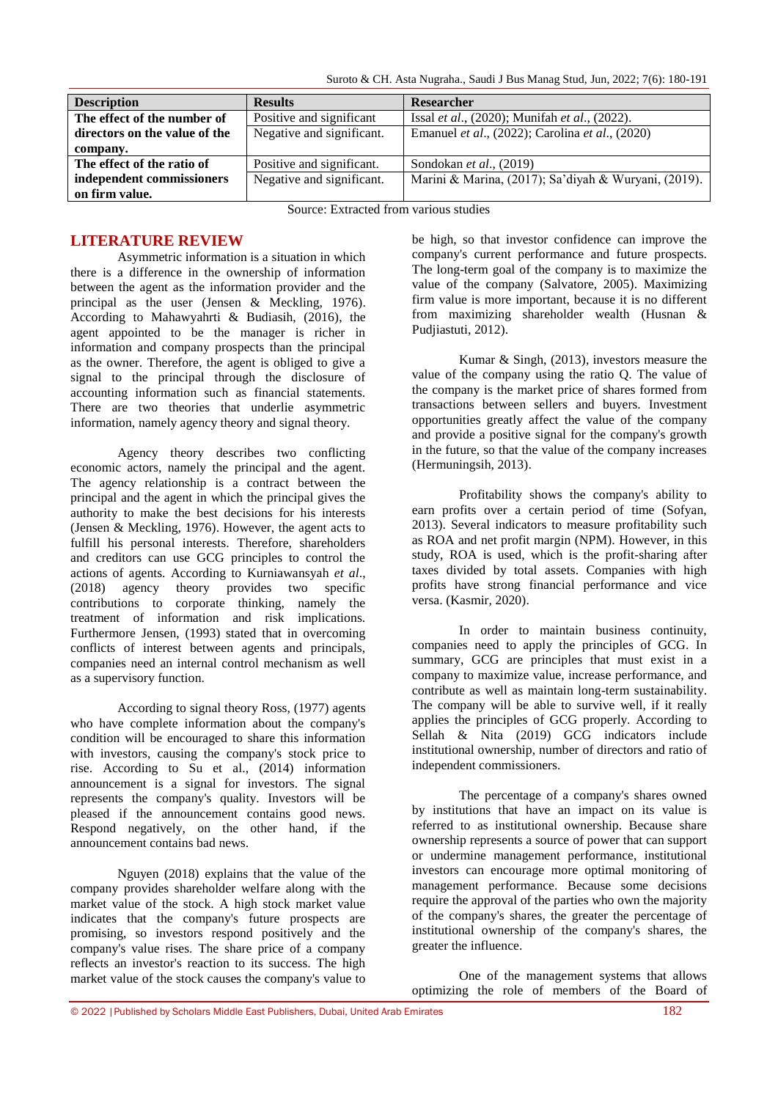Suroto & CH. Asta Nugraha., Saudi J Bus Manag Stud, Jun, 2022; 7(6): 180-191

| <b>Description</b>            | <b>Results</b>            | Researcher                                           |
|-------------------------------|---------------------------|------------------------------------------------------|
| The effect of the number of   | Positive and significant  | Issal et al., (2020); Munifah et al., (2022).        |
| directors on the value of the | Negative and significant. | Emanuel et al., (2022); Carolina et al., (2020)      |
| company.                      |                           |                                                      |
| The effect of the ratio of    | Positive and significant. | Sondokan <i>et al.</i> , $(2019)$                    |
| independent commissioners     | Negative and significant. | Marini & Marina, (2017); Sa'diyah & Wuryani, (2019). |
| on firm value.                |                           |                                                      |

Source: Extracted from various studies

## **LITERATURE REVIEW**

Asymmetric information is a situation in which there is a difference in the ownership of information between the agent as the information provider and the principal as the user (Jensen & Meckling, 1976). According to Mahawyahrti & Budiasih, (2016), the agent appointed to be the manager is richer in information and company prospects than the principal as the owner. Therefore, the agent is obliged to give a signal to the principal through the disclosure of accounting information such as financial statements. There are two theories that underlie asymmetric information, namely agency theory and signal theory.

Agency theory describes two conflicting economic actors, namely the principal and the agent. The agency relationship is a contract between the principal and the agent in which the principal gives the authority to make the best decisions for his interests (Jensen & Meckling, 1976). However, the agent acts to fulfill his personal interests. Therefore, shareholders and creditors can use GCG principles to control the actions of agents. According to Kurniawansyah *et al*., (2018) agency theory provides two specific contributions to corporate thinking, namely the treatment of information and risk implications. Furthermore Jensen, (1993) stated that in overcoming conflicts of interest between agents and principals, companies need an internal control mechanism as well as a supervisory function.

According to signal theory Ross, (1977) agents who have complete information about the company's condition will be encouraged to share this information with investors, causing the company's stock price to rise. According to Su et al., (2014) information announcement is a signal for investors. The signal represents the company's quality. Investors will be pleased if the announcement contains good news. Respond negatively, on the other hand, if the announcement contains bad news.

Nguyen (2018) explains that the value of the company provides shareholder welfare along with the market value of the stock. A high stock market value indicates that the company's future prospects are promising, so investors respond positively and the company's value rises. The share price of a company reflects an investor's reaction to its success. The high market value of the stock causes the company's value to

be high, so that investor confidence can improve the company's current performance and future prospects. The long-term goal of the company is to maximize the value of the company (Salvatore, 2005). Maximizing firm value is more important, because it is no different from maximizing shareholder wealth (Husnan & Pudjiastuti, 2012).

Kumar & Singh, (2013), investors measure the value of the company using the ratio Q. The value of the company is the market price of shares formed from transactions between sellers and buyers. Investment opportunities greatly affect the value of the company and provide a positive signal for the company's growth in the future, so that the value of the company increases (Hermuningsih, 2013).

Profitability shows the company's ability to earn profits over a certain period of time (Sofyan, 2013). Several indicators to measure profitability such as ROA and net profit margin (NPM). However, in this study, ROA is used, which is the profit-sharing after taxes divided by total assets. Companies with high profits have strong financial performance and vice versa. (Kasmir, 2020).

In order to maintain business continuity, companies need to apply the principles of GCG. In summary, GCG are principles that must exist in a company to maximize value, increase performance, and contribute as well as maintain long-term sustainability. The company will be able to survive well, if it really applies the principles of GCG properly. According to Sellah & Nita (2019) GCG indicators include institutional ownership, number of directors and ratio of independent commissioners.

The percentage of a company's shares owned by institutions that have an impact on its value is referred to as institutional ownership. Because share ownership represents a source of power that can support or undermine management performance, institutional investors can encourage more optimal monitoring of management performance. Because some decisions require the approval of the parties who own the majority of the company's shares, the greater the percentage of institutional ownership of the company's shares, the greater the influence.

One of the management systems that allows optimizing the role of members of the Board of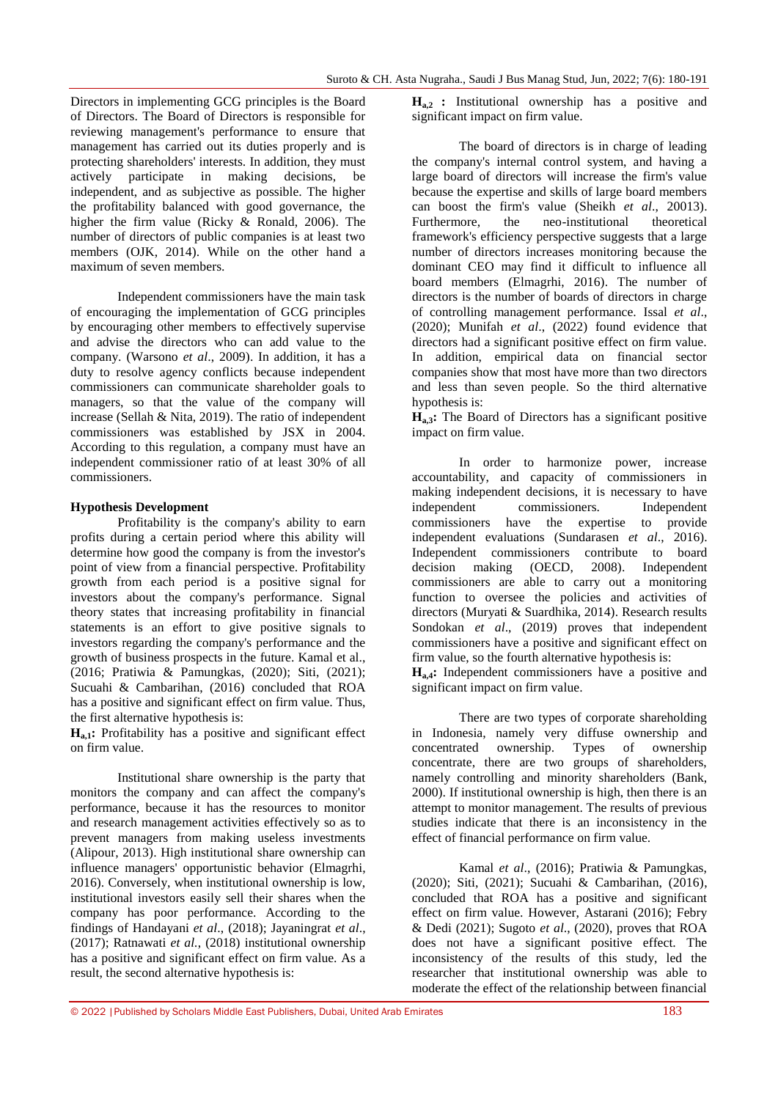Directors in implementing GCG principles is the Board of Directors. The Board of Directors is responsible for reviewing management's performance to ensure that management has carried out its duties properly and is protecting shareholders' interests. In addition, they must actively participate in making decisions, be independent, and as subjective as possible. The higher the profitability balanced with good governance, the higher the firm value (Ricky & Ronald, 2006). The number of directors of public companies is at least two members (OJK, 2014). While on the other hand a maximum of seven members.

Independent commissioners have the main task of encouraging the implementation of GCG principles by encouraging other members to effectively supervise and advise the directors who can add value to the company. (Warsono *et al*., 2009). In addition, it has a duty to resolve agency conflicts because independent commissioners can communicate shareholder goals to managers, so that the value of the company will increase (Sellah & Nita, 2019). The ratio of independent commissioners was established by JSX in 2004. According to this regulation, a company must have an independent commissioner ratio of at least 30% of all commissioners.

#### **Hypothesis Development**

Profitability is the company's ability to earn profits during a certain period where this ability will determine how good the company is from the investor's point of view from a financial perspective. Profitability growth from each period is a positive signal for investors about the company's performance. Signal theory states that increasing profitability in financial statements is an effort to give positive signals to investors regarding the company's performance and the growth of business prospects in the future. Kamal et al., (2016; Pratiwia & Pamungkas, (2020); Siti, (2021); Sucuahi & Cambarihan, (2016) concluded that ROA has a positive and significant effect on firm value. Thus, the first alternative hypothesis is:

**Ha,1:** Profitability has a positive and significant effect on firm value.

Institutional share ownership is the party that monitors the company and can affect the company's performance, because it has the resources to monitor and research management activities effectively so as to prevent managers from making useless investments (Alipour, 2013). High institutional share ownership can influence managers' opportunistic behavior (Elmagrhi, 2016). Conversely, when institutional ownership is low, institutional investors easily sell their shares when the company has poor performance. According to the findings of Handayani *et al*., (2018); Jayaningrat *et al*., (2017); Ratnawati *et al.*, (2018) institutional ownership has a positive and significant effect on firm value. As a result, the second alternative hypothesis is:

**Ha,2 :** Institutional ownership has a positive and significant impact on firm value.

The board of directors is in charge of leading the company's internal control system, and having a large board of directors will increase the firm's value because the expertise and skills of large board members can boost the firm's value (Sheikh *et al*., 20013). Furthermore, the neo-institutional theoretical framework's efficiency perspective suggests that a large number of directors increases monitoring because the dominant CEO may find it difficult to influence all board members (Elmagrhi, 2016). The number of directors is the number of boards of directors in charge of controlling management performance. Issal *et al*., (2020); Munifah *et al*., (2022) found evidence that directors had a significant positive effect on firm value. In addition, empirical data on financial sector companies show that most have more than two directors and less than seven people. So the third alternative hypothesis is:

**Ha,3:** The Board of Directors has a significant positive impact on firm value.

In order to harmonize power, increase accountability, and capacity of commissioners in making independent decisions, it is necessary to have independent commissioners. Independent commissioners have the expertise to provide independent evaluations (Sundarasen *et al*., 2016). Independent commissioners contribute to board decision making (OECD, 2008). Independent commissioners are able to carry out a monitoring function to oversee the policies and activities of directors (Muryati & Suardhika, 2014). Research results Sondokan *et al.*, (2019) proves that independent commissioners have a positive and significant effect on firm value, so the fourth alternative hypothesis is:

**Ha,4:** Independent commissioners have a positive and significant impact on firm value.

There are two types of corporate shareholding in Indonesia, namely very diffuse ownership and concentrated ownership. Types of ownership concentrate, there are two groups of shareholders, namely controlling and minority shareholders (Bank, 2000). If institutional ownership is high, then there is an attempt to monitor management. The results of previous studies indicate that there is an inconsistency in the effect of financial performance on firm value.

Kamal *et al*., (2016); Pratiwia & Pamungkas, (2020); Siti, (2021); Sucuahi & Cambarihan, (2016), concluded that ROA has a positive and significant effect on firm value. However, Astarani (2016); Febry & Dedi (2021); Sugoto *et al*., (2020), proves that ROA does not have a significant positive effect. The inconsistency of the results of this study, led the researcher that institutional ownership was able to moderate the effect of the relationship between financial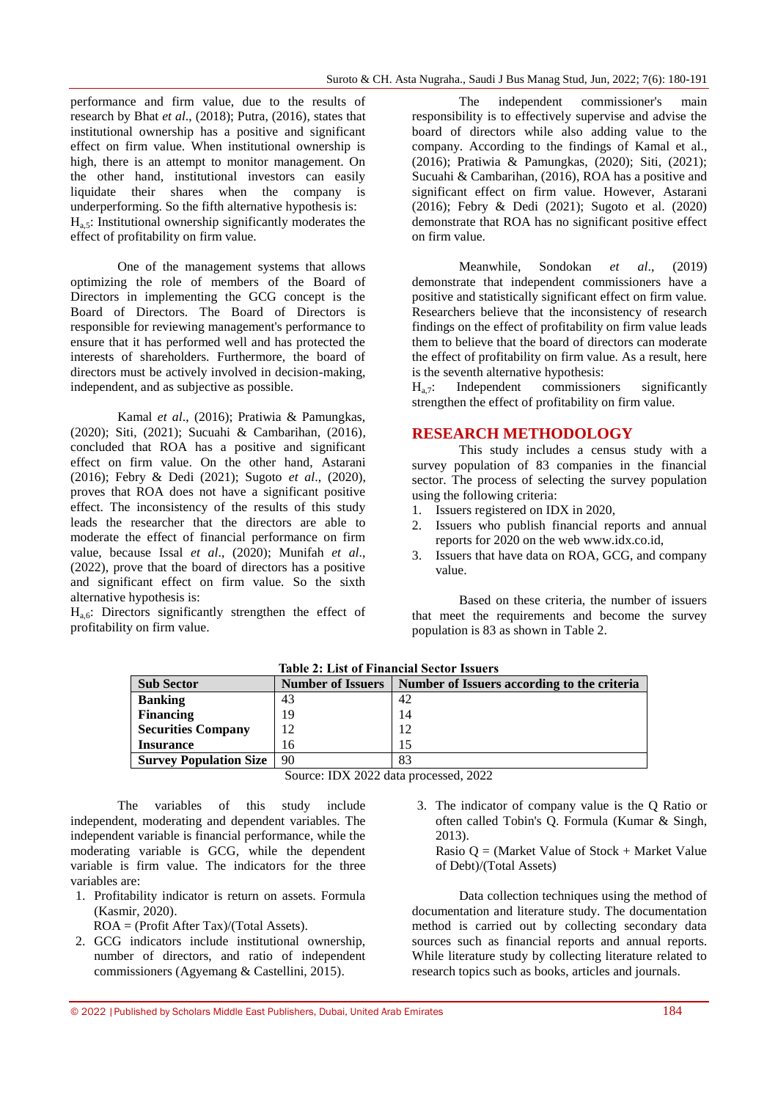performance and firm value, due to the results of research by Bhat *et al*., (2018); Putra, (2016), states that institutional ownership has a positive and significant effect on firm value. When institutional ownership is high, there is an attempt to monitor management. On the other hand, institutional investors can easily liquidate their shares when the company is underperforming. So the fifth alternative hypothesis is:  $H<sub>a.5</sub>$ : Institutional ownership significantly moderates the effect of profitability on firm value.

One of the management systems that allows optimizing the role of members of the Board of Directors in implementing the GCG concept is the Board of Directors. The Board of Directors is responsible for reviewing management's performance to ensure that it has performed well and has protected the interests of shareholders. Furthermore, the board of directors must be actively involved in decision-making, independent, and as subjective as possible.

Kamal *et al*., (2016); Pratiwia & Pamungkas, (2020); Siti, (2021); Sucuahi & Cambarihan, (2016), concluded that ROA has a positive and significant effect on firm value. On the other hand, Astarani (2016); Febry & Dedi (2021); Sugoto *et al*., (2020), proves that ROA does not have a significant positive effect. The inconsistency of the results of this study leads the researcher that the directors are able to moderate the effect of financial performance on firm value, because Issal *et al*., (2020); Munifah *et al*., (2022), prove that the board of directors has a positive and significant effect on firm value. So the sixth alternative hypothesis is:

 $H_{a,6}$ : Directors significantly strengthen the effect of profitability on firm value.

The independent commissioner's main responsibility is to effectively supervise and advise the board of directors while also adding value to the company. According to the findings of Kamal et al., (2016); Pratiwia & Pamungkas, (2020); Siti, (2021); Sucuahi & Cambarihan, (2016), ROA has a positive and significant effect on firm value. However, Astarani (2016); Febry & Dedi (2021); Sugoto et al. (2020) demonstrate that ROA has no significant positive effect on firm value.

Meanwhile, Sondokan *et al*., (2019) demonstrate that independent commissioners have a positive and statistically significant effect on firm value. Researchers believe that the inconsistency of research findings on the effect of profitability on firm value leads them to believe that the board of directors can moderate the effect of profitability on firm value. As a result, here is the seventh alternative hypothesis:

 $H<sub>a.7</sub>$ : Independent commissioners significantly strengthen the effect of profitability on firm value.

#### **RESEARCH METHODOLOGY**

This study includes a census study with a survey population of 83 companies in the financial sector. The process of selecting the survey population using the following criteria:

- 1. Issuers registered on IDX in 2020,
- 2. Issuers who publish financial reports and annual reports for 2020 on the web www.idx.co.id,
- 3. Issuers that have data on ROA, GCG, and company value.

Based on these criteria, the number of issuers that meet the requirements and become the survey population is 83 as shown in Table 2.

| <b>Table 2: List of Financial Sector Issuers</b> |                          |                                             |  |  |  |
|--------------------------------------------------|--------------------------|---------------------------------------------|--|--|--|
| <b>Sub Sector</b>                                | <b>Number of Issuers</b> | Number of Issuers according to the criteria |  |  |  |
| <b>Banking</b>                                   | 43                       | 42                                          |  |  |  |
| <b>Financing</b>                                 | 19                       | 14                                          |  |  |  |
| <b>Securities Company</b>                        | 12                       | 12                                          |  |  |  |
| <b>Insurance</b>                                 | 16                       | 15                                          |  |  |  |
| <b>Survey Population Size</b>                    | 90                       | 83                                          |  |  |  |

| Source: IDX 2022 data processed, 2022 |
|---------------------------------------|
|---------------------------------------|

The variables of this study include independent, moderating and dependent variables. The independent variable is financial performance, while the moderating variable is GCG, while the dependent variable is firm value. The indicators for the three variables are:

- 1. Profitability indicator is return on assets. Formula (Kasmir, 2020).
	- ROA = (Profit After Tax)/(Total Assets).
- 2. GCG indicators include institutional ownership, number of directors, and ratio of independent commissioners (Agyemang & Castellini, 2015).
- 3. The indicator of company value is the Q Ratio or often called Tobin's Q. Formula (Kumar & Singh, 2013).

Rasio  $Q = (Market Value of Stock + Market Value)$ of Debt)/(Total Assets)

Data collection techniques using the method of documentation and literature study. The documentation method is carried out by collecting secondary data sources such as financial reports and annual reports. While literature study by collecting literature related to research topics such as books, articles and journals.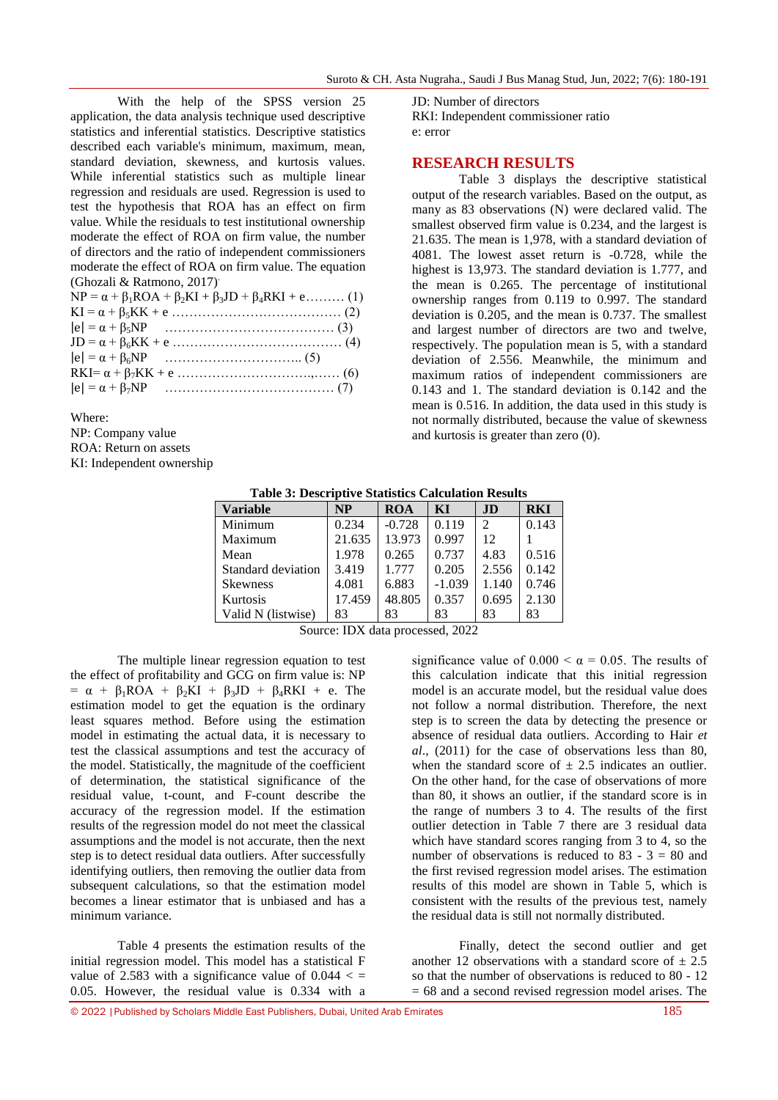With the help of the SPSS version 25 application, the data analysis technique used descriptive statistics and inferential statistics. Descriptive statistics described each variable's minimum, maximum, mean, standard deviation, skewness, and kurtosis values. While inferential statistics such as multiple linear regression and residuals are used. Regression is used to test the hypothesis that ROA has an effect on firm value. While the residuals to test institutional ownership moderate the effect of ROA on firm value, the number of directors and the ratio of independent commissioners moderate the effect of ROA on firm value. The equation (Ghozali & Ratmono, 2017).

| $NP = \alpha + \beta_1 ROA + \beta_2 KI + \beta_3 JD + \beta_4 RKI + e$ (1) |  |
|-----------------------------------------------------------------------------|--|
|                                                                             |  |
|                                                                             |  |
|                                                                             |  |
|                                                                             |  |
|                                                                             |  |
|                                                                             |  |

Where:

KI: Independent ownership

JD: Number of directors RKI: Independent commissioner ratio e: error

#### **RESEARCH RESULTS**

Table 3 displays the descriptive statistical output of the research variables. Based on the output, as many as 83 observations (N) were declared valid. The smallest observed firm value is 0.234, and the largest is 21.635. The mean is 1,978, with a standard deviation of 4081. The lowest asset return is -0.728, while the highest is 13,973. The standard deviation is 1.777, and the mean is 0.265. The percentage of institutional ownership ranges from 0.119 to 0.997. The standard deviation is 0.205, and the mean is 0.737. The smallest and largest number of directors are two and twelve, respectively. The population mean is 5, with a standard deviation of 2.556. Meanwhile, the minimum and maximum ratios of independent commissioners are 0.143 and 1. The standard deviation is 0.142 and the mean is 0.516. In addition, the data used in this study is not normally distributed, because the value of skewness and kurtosis is greater than zero (0).

| <b>Variable</b>    | <b>NP</b> | <b>ROA</b> | KI       | JD                          | <b>RKI</b> |
|--------------------|-----------|------------|----------|-----------------------------|------------|
| Minimum            | 0.234     | $-0.728$   | 0.119    | $\mathcal{D}_{\mathcal{L}}$ | 0.143      |
| Maximum            | 21.635    | 13.973     | 0.997    | 12                          |            |
| Mean               | 1.978     | 0.265      | 0.737    | 4.83                        | 0.516      |
| Standard deviation | 3.419     | 1.777      | 0.205    | 2.556                       | 0.142      |
| <b>Skewness</b>    | 4.081     | 6.883      | $-1.039$ | 1.140                       | 0.746      |
| Kurtosis           | 17.459    | 48.805     | 0.357    | 0.695                       | 2.130      |
| Valid N (listwise) | 83        | 83         | 83       | 83                          | 83         |

Source: IDX data processed, 2022

The multiple linear regression equation to test the effect of profitability and GCG on firm value is: NP  $= \alpha + \beta_1 ROA + \beta_2 KI + \beta_3 JD + \beta_4 RKI + e.$  The estimation model to get the equation is the ordinary least squares method. Before using the estimation model in estimating the actual data, it is necessary to test the classical assumptions and test the accuracy of the model. Statistically, the magnitude of the coefficient of determination, the statistical significance of the residual value, t-count, and F-count describe the accuracy of the regression model. If the estimation results of the regression model do not meet the classical assumptions and the model is not accurate, then the next step is to detect residual data outliers. After successfully identifying outliers, then removing the outlier data from subsequent calculations, so that the estimation model becomes a linear estimator that is unbiased and has a minimum variance.

Table 4 presents the estimation results of the initial regression model. This model has a statistical F value of 2.583 with a significance value of  $0.044 <$  = 0.05. However, the residual value is 0.334 with a

significance value of  $0.000 < \alpha = 0.05$ . The results of this calculation indicate that this initial regression model is an accurate model, but the residual value does not follow a normal distribution. Therefore, the next step is to screen the data by detecting the presence or absence of residual data outliers. According to Hair *et al*., (2011) for the case of observations less than 80, when the standard score of  $\pm$  2.5 indicates an outlier. On the other hand, for the case of observations of more than 80, it shows an outlier, if the standard score is in the range of numbers 3 to 4. The results of the first outlier detection in Table 7 there are 3 residual data which have standard scores ranging from 3 to 4, so the number of observations is reduced to 83 -  $3 = 80$  and the first revised regression model arises. The estimation results of this model are shown in Table 5, which is consistent with the results of the previous test, namely the residual data is still not normally distributed.

Finally, detect the second outlier and get another 12 observations with a standard score of  $\pm 2.5$ so that the number of observations is reduced to 80 - 12  $= 68$  and a second revised regression model arises. The

NP: Company value ROA: Return on assets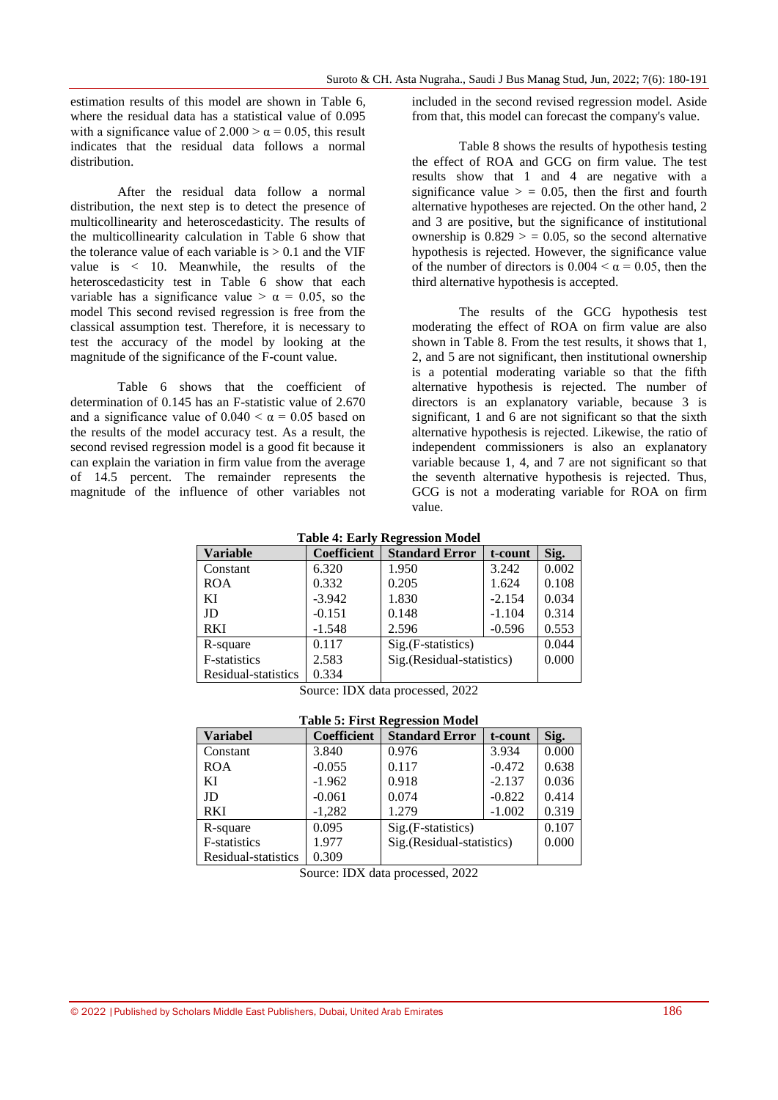estimation results of this model are shown in Table 6, where the residual data has a statistical value of 0.095 with a significance value of  $2.000 > \alpha = 0.05$ , this result indicates that the residual data follows a normal distribution.

After the residual data follow a normal distribution, the next step is to detect the presence of multicollinearity and heteroscedasticity. The results of the multicollinearity calculation in Table 6 show that the tolerance value of each variable is  $> 0.1$  and the VIF value is < 10. Meanwhile, the results of the heteroscedasticity test in Table 6 show that each variable has a significance value  $> \alpha = 0.05$ , so the model This second revised regression is free from the classical assumption test. Therefore, it is necessary to test the accuracy of the model by looking at the magnitude of the significance of the F-count value.

Table 6 shows that the coefficient of determination of 0.145 has an F-statistic value of 2.670 and a significance value of  $0.040 < \alpha = 0.05$  based on the results of the model accuracy test. As a result, the second revised regression model is a good fit because it can explain the variation in firm value from the average of 14.5 percent. The remainder represents the magnitude of the influence of other variables not included in the second revised regression model. Aside from that, this model can forecast the company's value.

Table 8 shows the results of hypothesis testing the effect of ROA and GCG on firm value. The test results show that 1 and 4 are negative with a significance value  $>$  = 0.05, then the first and fourth alternative hypotheses are rejected. On the other hand, 2 and 3 are positive, but the significance of institutional ownership is  $0.829 > 0.05$ , so the second alternative hypothesis is rejected. However, the significance value of the number of directors is  $0.004 < \alpha = 0.05$ , then the third alternative hypothesis is accepted.

The results of the GCG hypothesis test moderating the effect of ROA on firm value are also shown in Table 8. From the test results, it shows that 1, 2, and 5 are not significant, then institutional ownership is a potential moderating variable so that the fifth alternative hypothesis is rejected. The number of directors is an explanatory variable, because 3 is significant, 1 and 6 are not significant so that the sixth alternative hypothesis is rejected. Likewise, the ratio of independent commissioners is also an explanatory variable because 1, 4, and 7 are not significant so that the seventh alternative hypothesis is rejected. Thus, GCG is not a moderating variable for ROA on firm value.

|  | <b>Table 4: Early Regression Model</b> |  |
|--|----------------------------------------|--|
|  |                                        |  |

| <b>Variable</b>      | <b>Coefficient</b> | <b>Standard Error</b>     | t-count  | Sig.  |
|----------------------|--------------------|---------------------------|----------|-------|
| Constant             | 6.320              | 1.950                     | 3.242    | 0.002 |
| <b>ROA</b>           | 0.332              | 0.205                     | 1.624    | 0.108 |
| KI                   | $-3.942$           | 1.830                     | $-2.154$ | 0.034 |
| JD                   | $-0.151$           | 0.148                     | $-1.104$ | 0.314 |
| <b>RKI</b>           | $-1.548$           | 2.596                     | $-0.596$ | 0.553 |
| R-square             | 0.117              | Sig.(F-statistics)        | 0.044    |       |
| <b>F</b> -statistics | 2.583              | Sig.(Residual-statistics) | 0.000    |       |
| Residual-statistics  | 0.334              |                           |          |       |

Source: IDX data processed, 2022

| <b>Table 5: First Regression Model</b> |  |
|----------------------------------------|--|
|----------------------------------------|--|

| <b>Variabel</b>     | <b>Coefficient</b> | <b>Standard Error</b>     | Sig.     |       |
|---------------------|--------------------|---------------------------|----------|-------|
| Constant            | 3.840              | 0.976                     | 3.934    | 0.000 |
| <b>ROA</b>          | $-0.055$           | 0.117                     | $-0.472$ | 0.638 |
| KI                  | $-1.962$           | 0.918                     | $-2.137$ | 0.036 |
| JD                  | $-0.061$           | 0.074                     | $-0.822$ | 0.414 |
| <b>RKI</b>          | $-1,282$           | 1.279                     | $-1.002$ | 0.319 |
| R-square            | 0.095              | Sig.(F-statistics)        |          | 0.107 |
| F-statistics        | 1.977              | Sig.(Residual-statistics) | 0.000    |       |
| Residual-statistics | 0.309              |                           |          |       |

Source: IDX data processed, 2022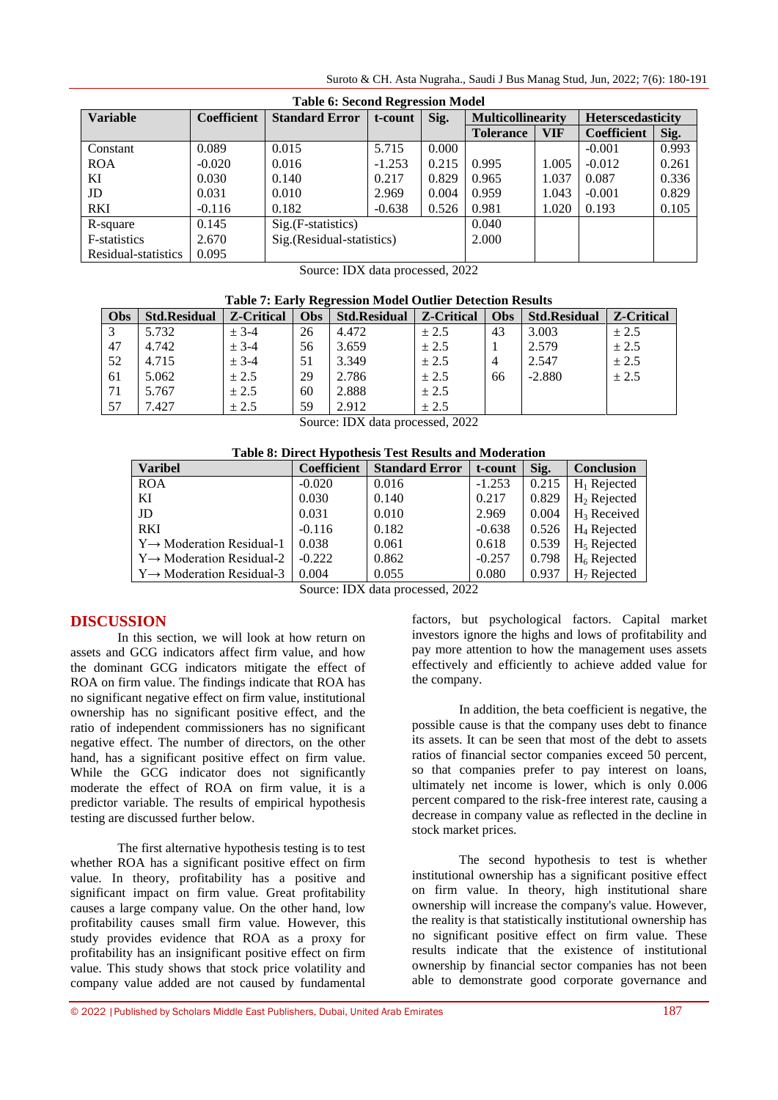Suroto & CH. Asta Nugraha., Saudi J Bus Manag Stud, Jun, 2022; 7(6): 180-191

| <b>Table 6: Second Regression Model</b> |                    |                            |          |       |                          |            |                          |       |  |
|-----------------------------------------|--------------------|----------------------------|----------|-------|--------------------------|------------|--------------------------|-------|--|
| <b>Variable</b>                         | <b>Coefficient</b> | <b>Standard Error</b>      | t-count  | Sig.  | <b>Multicollinearity</b> |            | <b>Heterscedasticity</b> |       |  |
|                                         |                    |                            |          |       | <b>Tolerance</b>         | <b>VIF</b> | <b>Coefficient</b>       | Sig.  |  |
| Constant                                | 0.089              | 0.015                      | 5.715    | 0.000 |                          |            | $-0.001$                 | 0.993 |  |
| <b>ROA</b>                              | $-0.020$           | 0.016                      | $-1.253$ | 0.215 | 0.995                    | 1.005      | $-0.012$                 | 0.261 |  |
| KI                                      | 0.030              | 0.140                      | 0.217    | 0.829 | 0.965                    | 1.037      | 0.087                    | 0.336 |  |
| JD                                      | 0.031              | 0.010                      | 2.969    | 0.004 | 0.959                    | 1.043      | $-0.001$                 | 0.829 |  |
| <b>RKI</b>                              | $-0.116$           | 0.182                      | $-0.638$ | 0.526 | 0.981                    | 1.020      | 0.193                    | 0.105 |  |
| R-square                                | 0.145              | $Sig.(F-statistics)$       |          |       | 0.040                    |            |                          |       |  |
| F-statistics                            | 2.670              | Sig. (Residual-statistics) |          |       | 2.000                    |            |                          |       |  |
| Residual-statistics                     | 0.095              |                            |          |       |                          |            |                          |       |  |

Source: IDX data processed, 2022

|  | Table 7: Early Regression Model Outlier Detection Results |  |  |
|--|-----------------------------------------------------------|--|--|
|  |                                                           |  |  |

| Obs | <b>Std.Residual</b> | <b>Z-Critical</b> | <b>Obs</b> | <b>Std.Residual</b> | <b>Z-Critical</b> | Obs | <b>Std.Residual</b> | <b>Z-Critical</b> |
|-----|---------------------|-------------------|------------|---------------------|-------------------|-----|---------------------|-------------------|
| 3   | 5.732               | $± 3-4$           | 26         | 4.472               | ± 2.5             | 43  | 3.003               | ± 2.5             |
| 47  | 4.742               | $± 3-4$           | 56         | 3.659               | ± 2.5             |     | 2.579               | ± 2.5             |
| 52  | 4.715               | $± 3-4$           | 51         | 3.349               | ± 2.5             |     | 2.547               | ± 2.5             |
| 61  | 5.062               | ± 2.5             | 29         | 2.786               | ± 2.5             | 66  | $-2.880$            | ± 2.5             |
| 71  | 5.767               | ± 2.5             | 60         | 2.888               | ± 2.5             |     |                     |                   |
| 57  | 7.427               | ± 2.5             | 59         | 2.912               | ± 2.5             |     |                     |                   |

Source: IDX data processed, 2022

| <b>Varibel</b>                        | <b>Coefficient</b> | <b>Standard Error</b> | t-count  | Sig.  | <b>Conclusion</b> |
|---------------------------------------|--------------------|-----------------------|----------|-------|-------------------|
| <b>ROA</b>                            | $-0.020$           | 0.016                 | $-1.253$ | 0.215 | $H_1$ Rejected    |
| KI                                    | 0.030              | 0.140                 | 0.217    | 0.829 | $H_2$ Rejected    |
| JD                                    | 0.031              | 0.010                 | 2.969    | 0.004 | $H_3$ Received    |
| <b>RKI</b>                            | $-0.116$           | 0.182                 | $-0.638$ | 0.526 | $H_4$ Rejected    |
| $Y \rightarrow$ Moderation Residual-1 | 0.038              | 0.061                 | 0.618    | 0.539 | $H5$ Rejected     |
| $Y \rightarrow$ Moderation Residual-2 | $-0.222$           | 0.862                 | $-0.257$ | 0.798 | $H_6$ Rejected    |
| $Y \rightarrow$ Moderation Residual-3 | 0.004              | 0.055                 | 0.080    | 0.937 | $H7$ Rejected     |

Source: IDX data processed, 2022

### **DISCUSSION**

In this section, we will look at how return on assets and GCG indicators affect firm value, and how the dominant GCG indicators mitigate the effect of ROA on firm value. The findings indicate that ROA has no significant negative effect on firm value, institutional ownership has no significant positive effect, and the ratio of independent commissioners has no significant negative effect. The number of directors, on the other hand, has a significant positive effect on firm value. While the GCG indicator does not significantly moderate the effect of ROA on firm value, it is a predictor variable. The results of empirical hypothesis testing are discussed further below.

The first alternative hypothesis testing is to test whether ROA has a significant positive effect on firm value. In theory, profitability has a positive and significant impact on firm value. Great profitability causes a large company value. On the other hand, low profitability causes small firm value. However, this study provides evidence that ROA as a proxy for profitability has an insignificant positive effect on firm value. This study shows that stock price volatility and company value added are not caused by fundamental

factors, but psychological factors. Capital market investors ignore the highs and lows of profitability and pay more attention to how the management uses assets effectively and efficiently to achieve added value for the company.

In addition, the beta coefficient is negative, the possible cause is that the company uses debt to finance its assets. It can be seen that most of the debt to assets ratios of financial sector companies exceed 50 percent, so that companies prefer to pay interest on loans, ultimately net income is lower, which is only 0.006 percent compared to the risk-free interest rate, causing a decrease in company value as reflected in the decline in stock market prices.

The second hypothesis to test is whether institutional ownership has a significant positive effect on firm value. In theory, high institutional share ownership will increase the company's value. However, the reality is that statistically institutional ownership has no significant positive effect on firm value. These results indicate that the existence of institutional ownership by financial sector companies has not been able to demonstrate good corporate governance and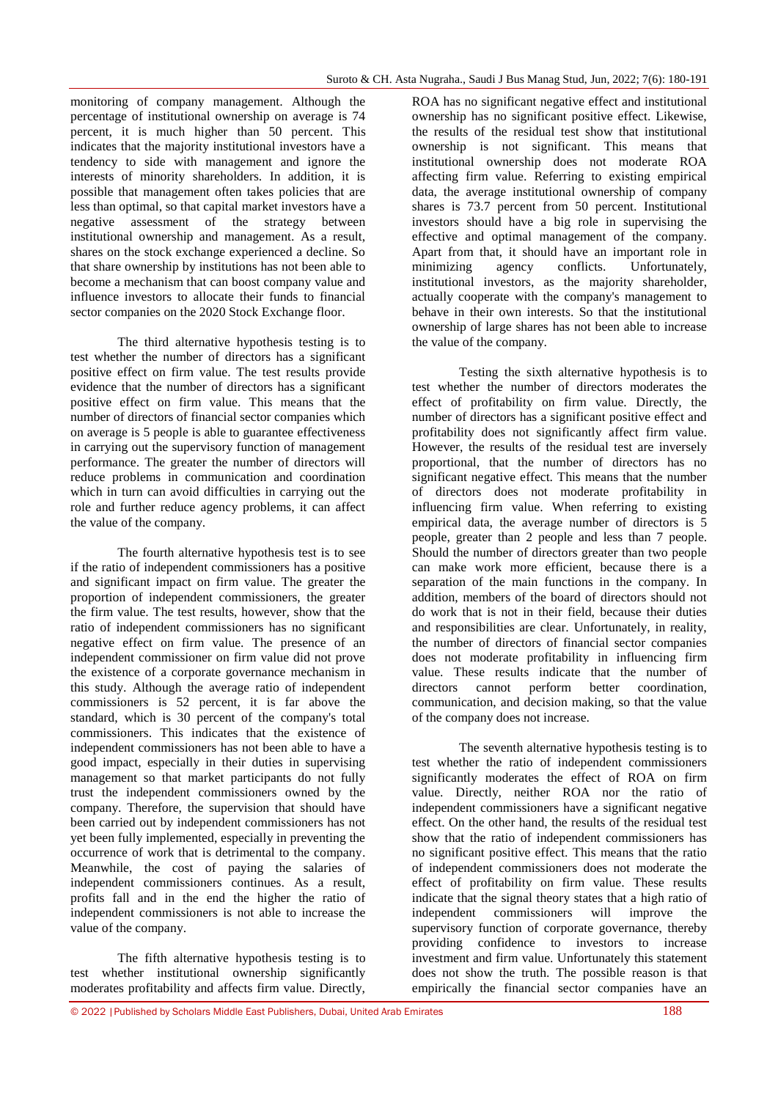monitoring of company management. Although the percentage of institutional ownership on average is 74 percent, it is much higher than 50 percent. This indicates that the majority institutional investors have a tendency to side with management and ignore the interests of minority shareholders. In addition, it is possible that management often takes policies that are less than optimal, so that capital market investors have a negative assessment of the strategy between institutional ownership and management. As a result, shares on the stock exchange experienced a decline. So that share ownership by institutions has not been able to become a mechanism that can boost company value and influence investors to allocate their funds to financial sector companies on the 2020 Stock Exchange floor.

The third alternative hypothesis testing is to test whether the number of directors has a significant positive effect on firm value. The test results provide evidence that the number of directors has a significant positive effect on firm value. This means that the number of directors of financial sector companies which on average is 5 people is able to guarantee effectiveness in carrying out the supervisory function of management performance. The greater the number of directors will reduce problems in communication and coordination which in turn can avoid difficulties in carrying out the role and further reduce agency problems, it can affect the value of the company.

The fourth alternative hypothesis test is to see if the ratio of independent commissioners has a positive and significant impact on firm value. The greater the proportion of independent commissioners, the greater the firm value. The test results, however, show that the ratio of independent commissioners has no significant negative effect on firm value. The presence of an independent commissioner on firm value did not prove the existence of a corporate governance mechanism in this study. Although the average ratio of independent commissioners is 52 percent, it is far above the standard, which is 30 percent of the company's total commissioners. This indicates that the existence of independent commissioners has not been able to have a good impact, especially in their duties in supervising management so that market participants do not fully trust the independent commissioners owned by the company. Therefore, the supervision that should have been carried out by independent commissioners has not yet been fully implemented, especially in preventing the occurrence of work that is detrimental to the company. Meanwhile, the cost of paying the salaries of independent commissioners continues. As a result, profits fall and in the end the higher the ratio of independent commissioners is not able to increase the value of the company.

The fifth alternative hypothesis testing is to test whether institutional ownership significantly moderates profitability and affects firm value. Directly,

ROA has no significant negative effect and institutional ownership has no significant positive effect. Likewise, the results of the residual test show that institutional ownership is not significant. This means that institutional ownership does not moderate ROA affecting firm value. Referring to existing empirical data, the average institutional ownership of company shares is 73.7 percent from 50 percent. Institutional investors should have a big role in supervising the effective and optimal management of the company. Apart from that, it should have an important role in minimizing agency conflicts. Unfortunately, institutional investors, as the majority shareholder, actually cooperate with the company's management to behave in their own interests. So that the institutional ownership of large shares has not been able to increase the value of the company.

Testing the sixth alternative hypothesis is to test whether the number of directors moderates the effect of profitability on firm value. Directly, the number of directors has a significant positive effect and profitability does not significantly affect firm value. However, the results of the residual test are inversely proportional, that the number of directors has no significant negative effect. This means that the number of directors does not moderate profitability in influencing firm value. When referring to existing empirical data, the average number of directors is 5 people, greater than 2 people and less than 7 people. Should the number of directors greater than two people can make work more efficient, because there is a separation of the main functions in the company. In addition, members of the board of directors should not do work that is not in their field, because their duties and responsibilities are clear. Unfortunately, in reality, the number of directors of financial sector companies does not moderate profitability in influencing firm value. These results indicate that the number of directors cannot perform better coordination. communication, and decision making, so that the value of the company does not increase.

The seventh alternative hypothesis testing is to test whether the ratio of independent commissioners significantly moderates the effect of ROA on firm value. Directly, neither ROA nor the ratio of independent commissioners have a significant negative effect. On the other hand, the results of the residual test show that the ratio of independent commissioners has no significant positive effect. This means that the ratio of independent commissioners does not moderate the effect of profitability on firm value. These results indicate that the signal theory states that a high ratio of independent commissioners will improve the supervisory function of corporate governance, thereby providing confidence to investors to increase investment and firm value. Unfortunately this statement does not show the truth. The possible reason is that empirically the financial sector companies have an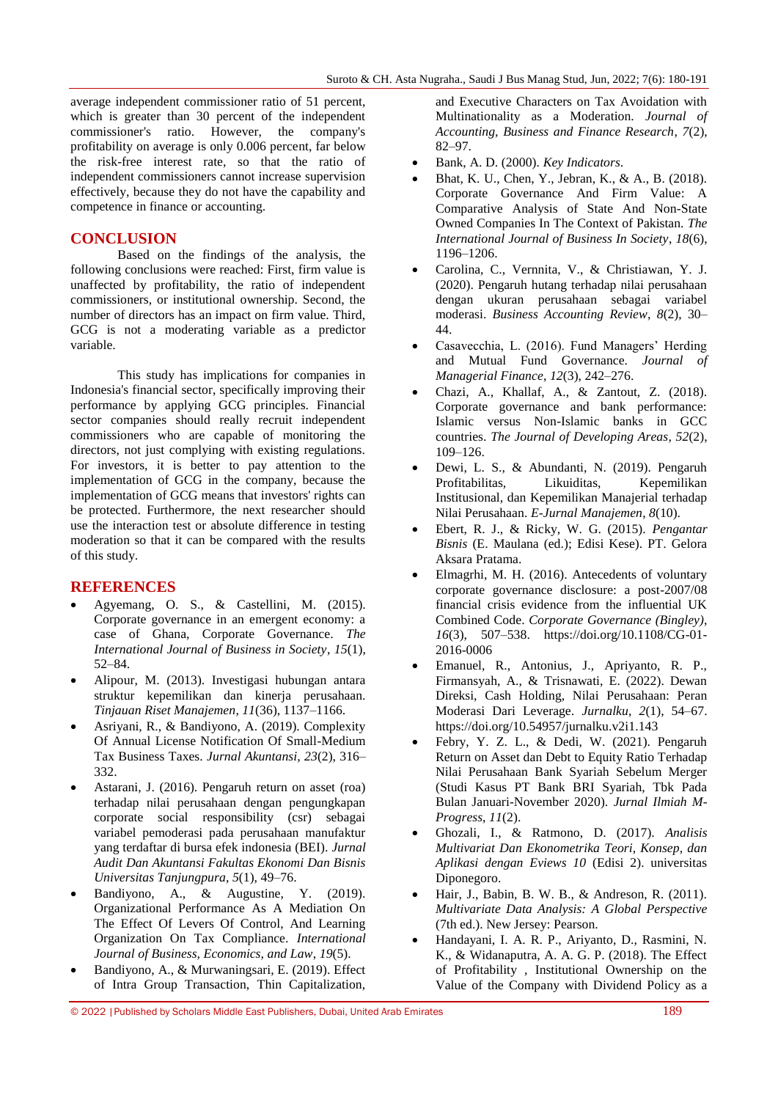average independent commissioner ratio of 51 percent, which is greater than 30 percent of the independent commissioner's ratio. However, the company's profitability on average is only 0.006 percent, far below the risk-free interest rate, so that the ratio of independent commissioners cannot increase supervision effectively, because they do not have the capability and competence in finance or accounting.

#### **CONCLUSION**

Based on the findings of the analysis, the following conclusions were reached: First, firm value is unaffected by profitability, the ratio of independent commissioners, or institutional ownership. Second, the number of directors has an impact on firm value. Third, GCG is not a moderating variable as a predictor variable.

This study has implications for companies in Indonesia's financial sector, specifically improving their performance by applying GCG principles. Financial sector companies should really recruit independent commissioners who are capable of monitoring the directors, not just complying with existing regulations. For investors, it is better to pay attention to the implementation of GCG in the company, because the implementation of GCG means that investors' rights can be protected. Furthermore, the next researcher should use the interaction test or absolute difference in testing moderation so that it can be compared with the results of this study.

#### **REFERENCES**

- Agyemang, O. S., & Castellini, M. (2015). Corporate governance in an emergent economy: a case of Ghana, Corporate Governance. *The International Journal of Business in Society*, *15*(1), 52–84.
- Alipour, M. (2013). Investigasi hubungan antara struktur kepemilikan dan kineria perusahaan. *Tinjauan Riset Manajemen*, *11*(36), 1137–1166.
- Asriyani, R., & Bandiyono, A. (2019). Complexity Of Annual License Notification Of Small-Medium Tax Business Taxes. *Jurnal Akuntansi*, *23*(2), 316– 332.
- Astarani, J. (2016). Pengaruh return on asset (roa) terhadap nilai perusahaan dengan pengungkapan corporate social responsibility (csr) sebagai variabel pemoderasi pada perusahaan manufaktur yang terdaftar di bursa efek indonesia (BEI). *Jurnal Audit Dan Akuntansi Fakultas Ekonomi Dan Bisnis Universitas Tanjungpura*, *5*(1), 49–76.
- Bandiyono, A., & Augustine, Y. (2019). Organizational Performance As A Mediation On The Effect Of Levers Of Control, And Learning Organization On Tax Compliance. *International Journal of Business, Economics, and Law*, *19*(5).
- Bandiyono, A., & Murwaningsari, E. (2019). Effect of Intra Group Transaction, Thin Capitalization,

and Executive Characters on Tax Avoidation with Multinationality as a Moderation. *Journal of Accounting, Business and Finance Research*, *7*(2), 82–97.

- Bank, A. D. (2000). *Key Indicators*.
- Bhat, K. U., Chen, Y., Jebran, K., & A., B. (2018). Corporate Governance And Firm Value: A Comparative Analysis of State And Non-State Owned Companies In The Context of Pakistan. *The International Journal of Business In Society*, *18*(6), 1196–1206.
- Carolina, C., Vernnita, V., & Christiawan, Y. J. (2020). Pengaruh hutang terhadap nilai perusahaan dengan ukuran perusahaan sebagai variabel moderasi. *Business Accounting Review*, *8*(2), 30– 44.
- Casavecchia, L. (2016). Fund Managers' Herding and Mutual Fund Governance. *Journal of Managerial Finance*, *12*(3), 242–276.
- Chazi, A., Khallaf, A., & Zantout, Z. (2018). Corporate governance and bank performance: Islamic versus Non-Islamic banks in GCC countries. *The Journal of Developing Areas*, *52*(2), 109–126.
- Dewi, L. S., & Abundanti, N. (2019). Pengaruh Profitabilitas, Likuiditas, Kepemilikan Institusional, dan Kepemilikan Manajerial terhadap Nilai Perusahaan. *E-Jurnal Manajemen*, *8*(10).
- Ebert, R. J., & Ricky, W. G. (2015). *Pengantar Bisnis* (E. Maulana (ed.); Edisi Kese). PT. Gelora Aksara Pratama.
- Elmagrhi, M. H. (2016). Antecedents of voluntary corporate governance disclosure: a post-2007/08 financial crisis evidence from the influential UK Combined Code. *Corporate Governance (Bingley)*, *16*(3), 507–538. https://doi.org/10.1108/CG-01- 2016-0006
- Emanuel, R., Antonius, J., Apriyanto, R. P., Firmansyah, A., & Trisnawati, E. (2022). Dewan Direksi, Cash Holding, Nilai Perusahaan: Peran Moderasi Dari Leverage. *Jurnalku*, *2*(1), 54–67. https://doi.org/10.54957/jurnalku.v2i1.143
- Febry, Y. Z. L., & Dedi, W. (2021). Pengaruh Return on Asset dan Debt to Equity Ratio Terhadap Nilai Perusahaan Bank Syariah Sebelum Merger (Studi Kasus PT Bank BRI Syariah, Tbk Pada Bulan Januari-November 2020). *Jurnal Ilmiah M-Progress*, *11*(2).
- Ghozali, I., & Ratmono, D. (2017). *Analisis Multivariat Dan Ekonometrika Teori, Konsep, dan Aplikasi dengan Eviews 10* (Edisi 2). universitas Diponegoro.
- Hair, J., Babin, B. W. B., & Andreson, R. (2011). *Multivariate Data Analysis: A Global Perspective* (7th ed.). New Jersey: Pearson.
- Handayani, I. A. R. P., Ariyanto, D., Rasmini, N. K., & Widanaputra, A. A. G. P. (2018). The Effect of Profitability , Institutional Ownership on the Value of the Company with Dividend Policy as a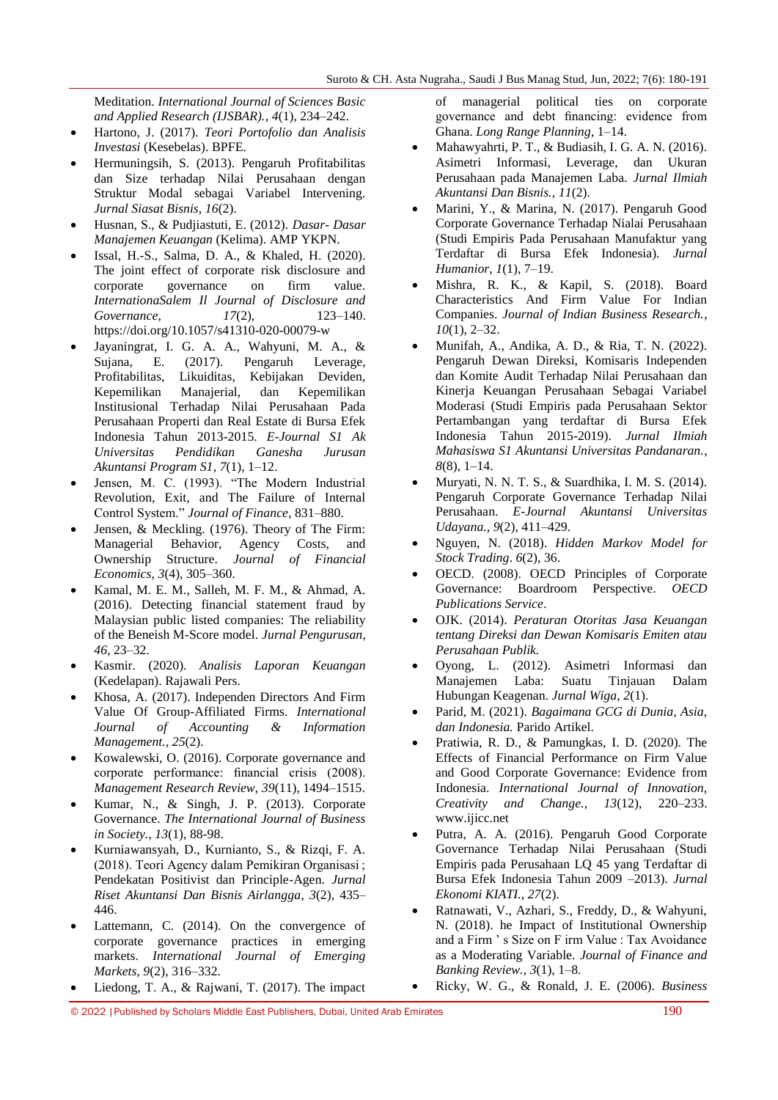Meditation. *International Journal of Sciences Basic and Applied Research (IJSBAR).*, *4*(1), 234–242.

- Hartono, J. (2017). *Teori Portofolio dan Analisis Investasi* (Kesebelas). BPFE.
- Hermuningsih, S. (2013). Pengaruh Profitabilitas dan Size terhadap Nilai Perusahaan dengan Struktur Modal sebagai Variabel Intervening. *Jurnal Siasat Bisnis*, *16*(2).
- Husnan, S., & Pudjiastuti, E. (2012). *Dasar- Dasar Manajemen Keuangan* (Kelima). AMP YKPN.
- Issal, H.-S., Salma, D. A., & Khaled, H. (2020). The joint effect of corporate risk disclosure and corporate governance on firm value. *InternationaSalem Il Journal of Disclosure and Governance*, *17*(2), 123–140. https://doi.org/10.1057/s41310-020-00079-w
- Jayaningrat, I. G. A. A., Wahyuni, M. A., & Sujana, E. (2017). Pengaruh Leverage, Profitabilitas, Likuiditas, Kebijakan Deviden, Kepemilikan Manajerial, dan Kepemilikan Institusional Terhadap Nilai Perusahaan Pada Perusahaan Properti dan Real Estate di Bursa Efek Indonesia Tahun 2013-2015. *E-Journal S1 Ak Universitas Pendidikan Ganesha Jurusan Akuntansi Program S1*, *7*(1), 1–12.
- Jensen, M. C. (1993). "The Modern Industrial Revolution, Exit, and The Failure of Internal Control System." *Journal of Finance*, 831–880.
- Jensen, & Meckling. (1976). Theory of The Firm: Managerial Behavior, Agency Costs, and Ownership Structure. *Journal of Financial Economics*, *3*(4), 305–360.
- Kamal, M. E. M., Salleh, M. F. M., & Ahmad, A. (2016). Detecting financial statement fraud by Malaysian public listed companies: The reliability of the Beneish M-Score model. *Jurnal Pengurusan*, *46*, 23–32.
- Kasmir. (2020). *Analisis Laporan Keuangan* (Kedelapan). Rajawali Pers.
- Khosa, A. (2017). Independen Directors And Firm Value Of Group-Affiliated Firms. *International Journal of Accounting & Information Management.*, *25*(2).
- Kowalewski, O. (2016). Corporate governance and corporate performance: financial crisis (2008). *Management Research Review*, *39*(11), 1494–1515.
- Kumar, N., & Singh, J. P. (2013). Corporate Governance. *The International Journal of Business in Society.*, *13*(1), 88-98.
- Kurniawansyah, D., Kurnianto, S., & Rizqi, F. A. (2018). Teori Agency dalam Pemikiran Organisasi ; Pendekatan Positivist dan Principle-Agen. *Jurnal Riset Akuntansi Dan Bisnis Airlangga*, *3*(2), 435– 446.
- Lattemann, C. (2014). On the convergence of corporate governance practices in emerging markets. *International Journal of Emerging Markets, 9*(2), 316–332.
- Liedong, T. A., & Rajwani, T. (2017). The impact

of managerial political ties on corporate governance and debt financing: evidence from Ghana. *Long Range Planning*, 1–14.

- Mahawyahrti, P. T., & Budiasih, I. G. A. N. (2016). Asimetri Informasi, Leverage, dan Ukuran Perusahaan pada Manajemen Laba. *Jurnal Ilmiah Akuntansi Dan Bisnis.*, *11*(2).
- Marini, Y., & Marina, N. (2017). Pengaruh Good Corporate Governance Terhadap Nialai Perusahaan (Studi Empiris Pada Perusahaan Manufaktur yang Terdaftar di Bursa Efek Indonesia). *Jurnal Humanior*, *1*(1), 7–19.
- Mishra, R. K., & Kapil, S. (2018). Board Characteristics And Firm Value For Indian Companies. *Journal of Indian Business Research.*, *10*(1), 2–32.
- Munifah, A., Andika, A. D., & Ria, T. N. (2022). Pengaruh Dewan Direksi, Komisaris Independen dan Komite Audit Terhadap Nilai Perusahaan dan Kinerja Keuangan Perusahaan Sebagai Variabel Moderasi (Studi Empiris pada Perusahaan Sektor Pertambangan yang terdaftar di Bursa Efek Indonesia Tahun 2015-2019). *Jurnal Ilmiah Mahasiswa S1 Akuntansi Universitas Pandanaran.*, *8*(8), 1–14.
- Muryati, N. N. T. S., & Suardhika, I. M. S. (2014). Pengaruh Corporate Governance Terhadap Nilai Perusahaan. *E-Journal Akuntansi Universitas Udayana.*, *9*(2), 411–429.
- Nguyen, N. (2018). *Hidden Markov Model for Stock Trading*. *6*(2), 36.
- OECD. (2008). OECD Principles of Corporate Governance: Boardroom Perspective. *OECD Publications Service*.
- OJK. (2014). *Peraturan Otoritas Jasa Keuangan tentang Direksi dan Dewan Komisaris Emiten atau Perusahaan Publik.*
- Oyong, L. (2012). Asimetri Informasi dan Manajemen Laba: Suatu Tinjauan Dalam Hubungan Keagenan. *Jurnal Wiga*, *2*(1).
- Parid, M. (2021). *Bagaimana GCG di Dunia, Asia, dan Indonesia.* Parido Artikel.
- Pratiwia, R. D., & Pamungkas, I. D. (2020). The Effects of Financial Performance on Firm Value and Good Corporate Governance: Evidence from Indonesia. *International Journal of Innovation, Creativity and Change.*, *13*(12), 220–233. www.ijicc.net
- Putra, A. A. (2016). Pengaruh Good Corporate Governance Terhadap Nilai Perusahaan (Studi Empiris pada Perusahaan LQ 45 yang Terdaftar di Bursa Efek Indonesia Tahun 2009 –2013). *Jurnal Ekonomi KIATI.*, *27*(2).
- Ratnawati, V., Azhari, S., Freddy, D., & Wahyuni, N. (2018). he Impact of Institutional Ownership and a Firm 's Size on F irm Value : Tax Avoidance as a Moderating Variable. *Journal of Finance and Banking Review.*, *3*(1), 1–8.
	- Ricky, W. G., & Ronald, J. E. (2006). *Business*